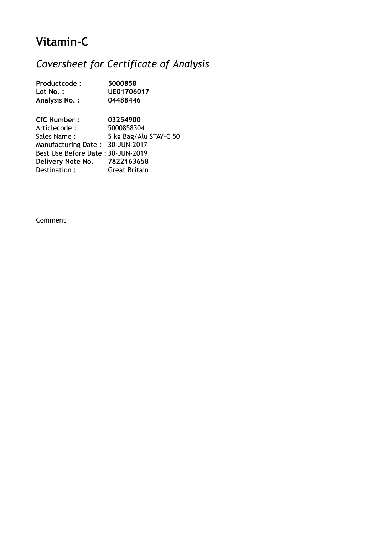# **Vitamin-C**

## *Coversheet for Certificate of Analysis*

| Productcode:<br>Lot No.:<br><b>Analysis No.:</b> | 5000858<br>UE01706017<br>04488446 |  |  |
|--------------------------------------------------|-----------------------------------|--|--|
|                                                  |                                   |  |  |
| Articlecode :                                    | 5000858304                        |  |  |
| Sales Name:                                      | 5 kg Bag/Alu STAY-C 50            |  |  |
| Manufacturing Date: 30-JUN-2017                  |                                   |  |  |
| Best Use Before Date: 30-JUN-2019                |                                   |  |  |
| Delivery Note No.                                | 7822163658                        |  |  |
| Destination:                                     | <b>Great Britain</b>              |  |  |

Comment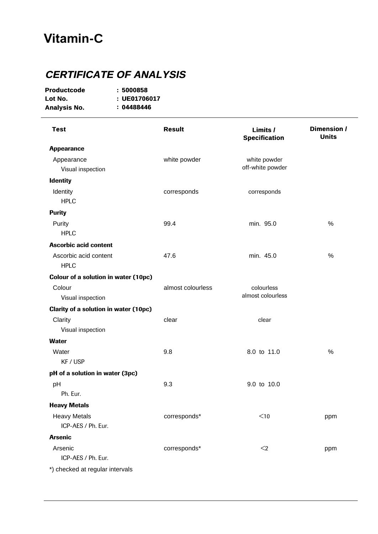### **Vitamin-C**

#### **CERTIFICATE OF ANALYSIS**

| <b>Productcode</b>  | :5000858  |
|---------------------|-----------|
| Lot No.             | : UE01706 |
| <b>Analysis No.</b> | :0448844  |

**Lot No. UE01706017 No. : Analysis No.Analysis No. : 0448844604488446**

Arsenic **corresponds**\*  $\leq$  2 ppm ICP-AES / Ph. Eur.  $<$ 2 Arsenic Heavy Metals **Example 20** corresponds<sup>\*</sup>  $\leq 10$  ppm ICP-AES / Ph. Eur.  $<$ 10 Heavy Metals pH 9.3 9.0 to 10.0 Ph. Eur. pH of a solution in water (3pc) Water 8.0 to 11.0 % KF / USP **Water** Clarity **Clarity Clarity Clarity Clear**  Visual inspection clear Clarity of a solution in water (10pc) Colour almost colourless Visual inspection colourless almost colourless Colour of a solution in water (10pc) Ascorbic acid content  $47.6$  min.  $45.0$  % HPL<sub>C</sub> Ascorbic acid content Purity 99.4 min. 95.0 % HPLC **Purity** Identity **COLLEGE COLLEGE COLLEGE COLLEGE COLLEGE COLLEGE COLLEGE COLLEGE COLLEGE COLLEGE COLLEGE COLLEGE COLL**  HPLC corresponds **Identity** Appearance white powder Visual inspection white powder off-white powder **Appearance Result Limits /Limits / Specification Dimension / Units Test** \*) checked at regular intervals